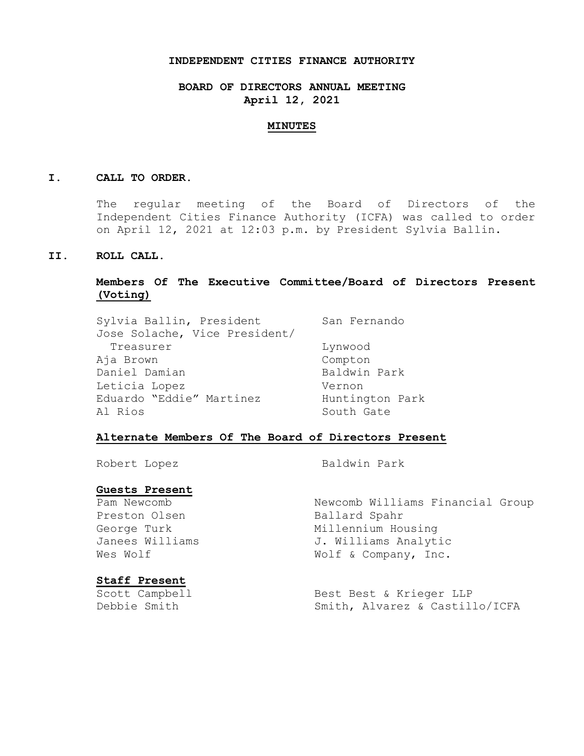## **INDEPENDENT CITIES FINANCE AUTHORITY**

**BOARD OF DIRECTORS ANNUAL MEETING April 12, 2021**

#### **MINUTES**

#### **I. CALL TO ORDER.**

The regular meeting of the Board of Directors of the Independent Cities Finance Authority (ICFA) was called to order on April 12, 2021 at 12:03 p.m. by President Sylvia Ballin.

## **II. ROLL CALL.**

# **Members Of The Executive Committee/Board of Directors Present (Voting)**

| Sylvia Ballin, President      | San Fernando    |
|-------------------------------|-----------------|
| Jose Solache, Vice President/ |                 |
| Treasurer                     | Lynwood         |
| Aja Brown                     | Compton         |
| Daniel Damian                 | Baldwin Park    |
| Leticia Lopez                 | Vernon          |
| Eduardo "Eddie" Martinez      | Huntington Park |
| Al Rios                       | South Gate      |

## **Alternate Members Of The Board of Directors Present**

Robert Lopez Baldwin Park

# **Guests Present**

Preston Olsen Ballard Spahr

# **Staff Present**

Pam Newcomb Newcomb Williams Financial Group George Turk Millennium Housing Janees Williams 3. Williams Analytic Wes Wolf  $W$  Wolf & Company, Inc.

Scott Campbell Best Best & Krieger LLP Debbie Smith Smith, Alvarez & Castillo/ICFA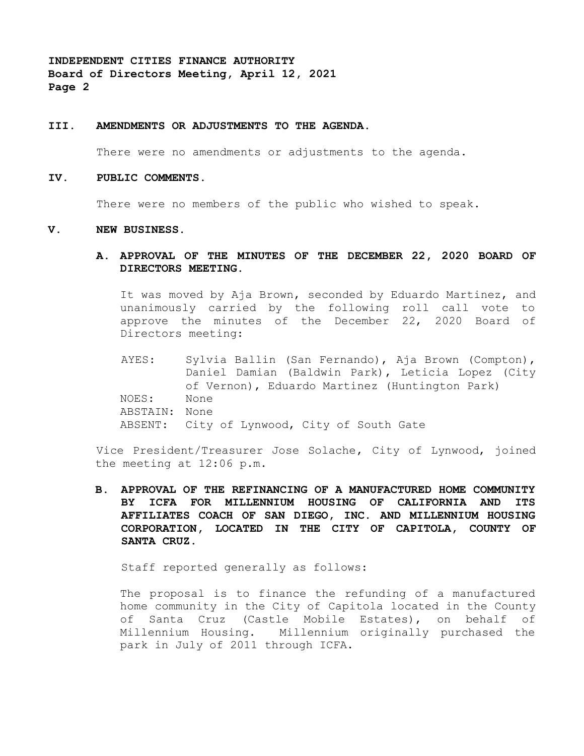# **III. AMENDMENTS OR ADJUSTMENTS TO THE AGENDA.**

There were no amendments or adjustments to the agenda.

#### **IV. PUBLIC COMMENTS.**

There were no members of the public who wished to speak.

#### **V. NEW BUSINESS.**

# **A. APPROVAL OF THE MINUTES OF THE DECEMBER 22, 2020 BOARD OF DIRECTORS MEETING.**

It was moved by Aja Brown, seconded by Eduardo Martinez, and unanimously carried by the following roll call vote to approve the minutes of the December 22, 2020 Board of Directors meeting:

AYES: Sylvia Ballin (San Fernando), Aja Brown (Compton), Daniel Damian (Baldwin Park), Leticia Lopez (City of Vernon), Eduardo Martinez (Huntington Park) NOES: None ABSTAIN: None ABSENT: City of Lynwood, City of South Gate

Vice President/Treasurer Jose Solache, City of Lynwood, joined the meeting at 12:06 p.m.

**B. APPROVAL OF THE REFINANCING OF A MANUFACTURED HOME COMMUNITY BY ICFA FOR MILLENNIUM HOUSING OF CALIFORNIA AND ITS AFFILIATES COACH OF SAN DIEGO, INC. AND MILLENNIUM HOUSING CORPORATION, LOCATED IN THE CITY OF CAPITOLA, COUNTY OF SANTA CRUZ.**

Staff reported generally as follows:

The proposal is to finance the refunding of a manufactured home community in the City of Capitola located in the County of Santa Cruz (Castle Mobile Estates), on behalf of Millennium Housing. Millennium originally purchased the park in July of 2011 through ICFA.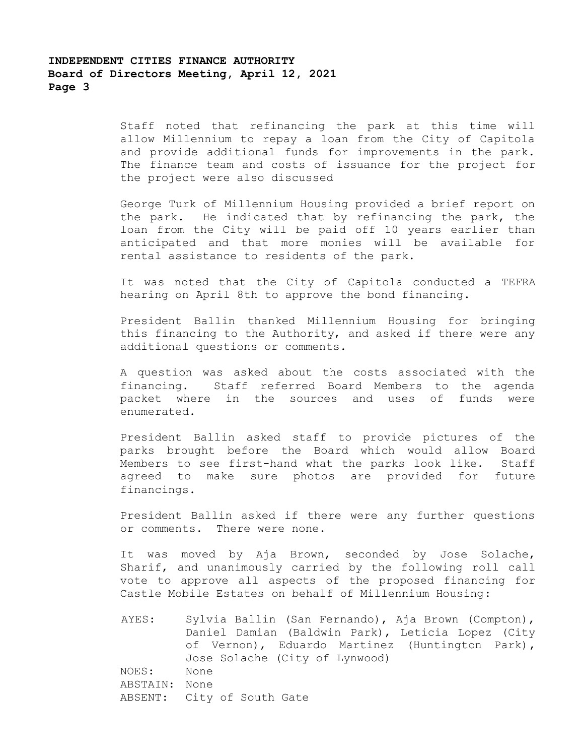Staff noted that refinancing the park at this time will allow Millennium to repay a loan from the City of Capitola and provide additional funds for improvements in the park. The finance team and costs of issuance for the project for the project were also discussed

George Turk of Millennium Housing provided a brief report on the park. He indicated that by refinancing the park, the loan from the City will be paid off 10 years earlier than anticipated and that more monies will be available for rental assistance to residents of the park.

It was noted that the City of Capitola conducted a TEFRA hearing on April 8th to approve the bond financing.

President Ballin thanked Millennium Housing for bringing this financing to the Authority, and asked if there were any additional questions or comments.

A question was asked about the costs associated with the financing. Staff referred Board Members to the agenda packet where in the sources and uses of funds were enumerated.

President Ballin asked staff to provide pictures of the parks brought before the Board which would allow Board Members to see first-hand what the parks look like. Staff agreed to make sure photos are provided for future financings.

President Ballin asked if there were any further questions or comments. There were none.

It was moved by Aja Brown, seconded by Jose Solache, Sharif, and unanimously carried by the following roll call vote to approve all aspects of the proposed financing for Castle Mobile Estates on behalf of Millennium Housing:

AYES: Sylvia Ballin (San Fernando), Aja Brown (Compton), Daniel Damian (Baldwin Park), Leticia Lopez (City of Vernon), Eduardo Martinez (Huntington Park), Jose Solache (City of Lynwood) NOES: None ABSTAIN: None ABSENT: City of South Gate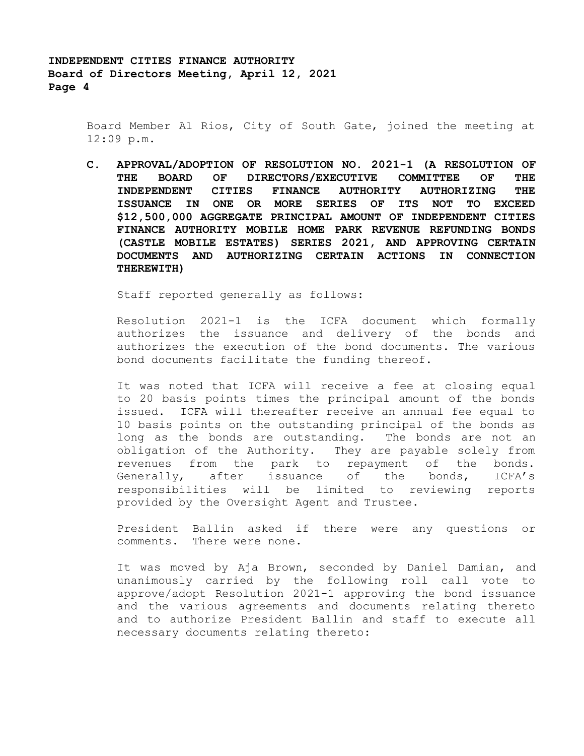> Board Member Al Rios, City of South Gate, joined the meeting at 12:09 p.m.

> **C. APPROVAL/ADOPTION OF RESOLUTION NO. 2021-1 (A RESOLUTION OF THE BOARD OF DIRECTORS/EXECUTIVE COMMITTEE OF THE INDEPENDENT CITIES FINANCE AUTHORITY AUTHORIZING THE ISSUANCE IN ONE OR MORE SERIES OF ITS NOT TO EXCEED \$12,500,000 AGGREGATE PRINCIPAL AMOUNT OF INDEPENDENT CITIES FINANCE AUTHORITY MOBILE HOME PARK REVENUE REFUNDING BONDS (CASTLE MOBILE ESTATES) SERIES 2021, AND APPROVING CERTAIN DOCUMENTS AND AUTHORIZING CERTAIN ACTIONS IN CONNECTION THEREWITH)**

Staff reported generally as follows:

Resolution 2021-1 is the ICFA document which formally authorizes the issuance and delivery of the bonds and authorizes the execution of the bond documents. The various bond documents facilitate the funding thereof.

It was noted that ICFA will receive a fee at closing equal to 20 basis points times the principal amount of the bonds issued. ICFA will thereafter receive an annual fee equal to 10 basis points on the outstanding principal of the bonds as long as the bonds are outstanding. The bonds are not an obligation of the Authority. They are payable solely from revenues from the park to repayment of the bonds. Generally, after issuance of the bonds, ICFA's responsibilities will be limited to reviewing reports provided by the Oversight Agent and Trustee.

President Ballin asked if there were any questions or comments. There were none.

It was moved by Aja Brown, seconded by Daniel Damian, and unanimously carried by the following roll call vote to approve/adopt Resolution 2021-1 approving the bond issuance and the various agreements and documents relating thereto and to authorize President Ballin and staff to execute all necessary documents relating thereto: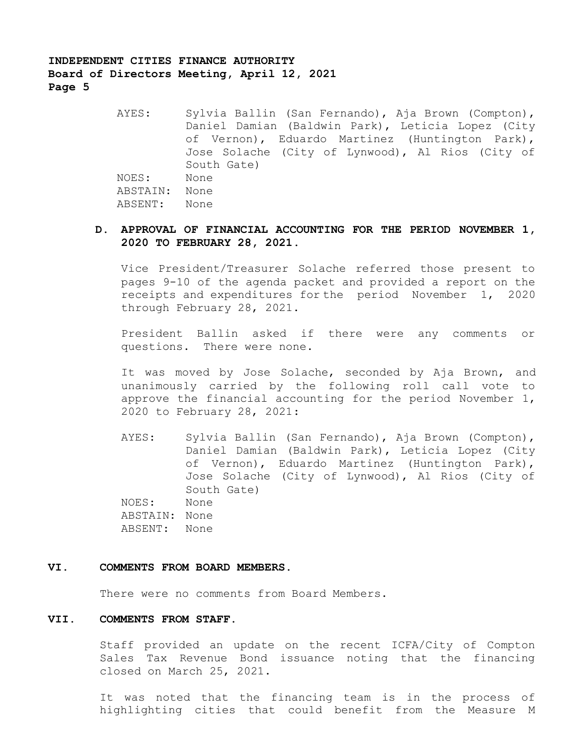> AYES: Sylvia Ballin (San Fernando), Aja Brown (Compton), Daniel Damian (Baldwin Park), Leticia Lopez (City of Vernon), Eduardo Martinez (Huntington Park), Jose Solache (City of Lynwood), Al Rios (City of South Gate) NOES: None ABSTAIN: None ABSENT: None

# **D. APPROVAL OF FINANCIAL ACCOUNTING FOR THE PERIOD NOVEMBER 1, 2020 TO FEBRUARY 28, 2021.**

Vice President/Treasurer Solache referred those present to pages 9-10 of the agenda packet and provided a report on the receipts and expenditures for the period November 1, 2020 through February 28, 2021.

President Ballin asked if there were any comments or questions. There were none.

It was moved by Jose Solache, seconded by Aja Brown, and unanimously carried by the following roll call vote to approve the financial accounting for the period November 1, 2020 to February 28, 2021:

AYES: Sylvia Ballin (San Fernando), Aja Brown (Compton), Daniel Damian (Baldwin Park), Leticia Lopez (City of Vernon), Eduardo Martinez (Huntington Park), Jose Solache (City of Lynwood), Al Rios (City of South Gate) NOES: None ABSTAIN: None ABSENT: None

### **VI. COMMENTS FROM BOARD MEMBERS.**

There were no comments from Board Members.

# **VII. COMMENTS FROM STAFF.**

Staff provided an update on the recent ICFA/City of Compton Sales Tax Revenue Bond issuance noting that the financing closed on March 25, 2021.

It was noted that the financing team is in the process of highlighting cities that could benefit from the Measure M